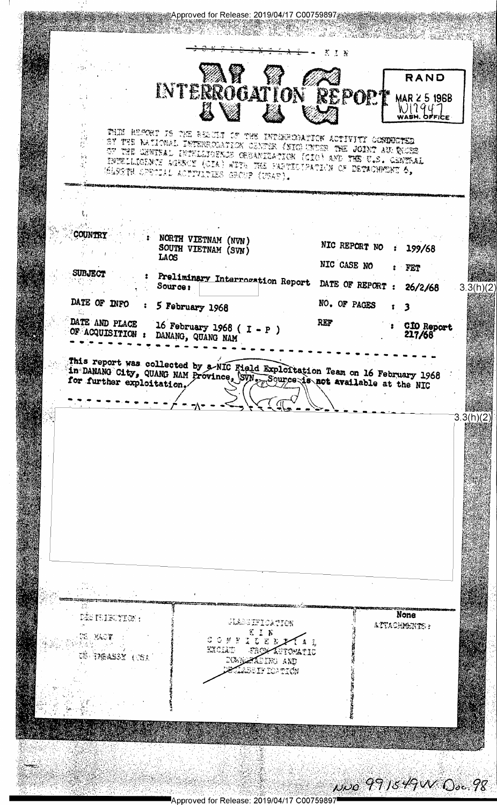※Approved for Release: 2019/04/17 C00759897 ેક સાથિય ઉર્વત  $\mathbf{z}$  $\mathcal{I}$  as INTERROGATION REPOR RAND MAR 25 1968 WIZ947 THE BEFORT IS THE RESULT OF THE INTERFEDIATION ACTIVITY CONDUCTED SY THE NATIONAL INTERPOLATION CENTER (NIC) INDER THE JOINT AU INCES OF THE CHWISAL INTELLIGENCE CREANILATION (CIO) AND THE C.S. CENTRAL þ, INTELLICINCE LOSSON (CIA) WITH THE PARTICIPATION OF DETACHMENT 6, WARTH OPECIAL ACTIVITIES GROUP (URAS). ÷. COUNTRY NORTH VIETNAM (NVN) NIC REPORT NO SOUTH VIETNAM (SVN) 199/68  $\mathbf{r}$ LAOS NIC CASE NO FET SUBJECT Preliminary Interrogation Report DATE OF REPORT : Source: 26/2/68  $3.3(h)(2)$ DATE OF INFO NO. OF PAGES 5 February 1968 3  $\mathbf{r}$ DATE AND PLACE 16 February 1968 ( $I - P$ ) REF C10 Report OF ACQUISITION : DANANG, QUANG NAM 217/68 This report was collected by a NIC Field Exploitation Team on 16 February 1968<br>in DANANG City, QUANG NAM Province, SVN. Source is not available at the NIC  $3.3(h)(2)$ None Dés feiruntion : glade ifica thos ATTACHMENTS:  $X \subseteq Y$ E. KOT **CONNIDER** イキミ 천습 번 EXCLUD **FROM APTOMETIC** CE DIGALIST (CEA NOW CALLED AND aldeif iontich NOO 991549W Osc.98

Approved for Release: 2019/04/17 C00759897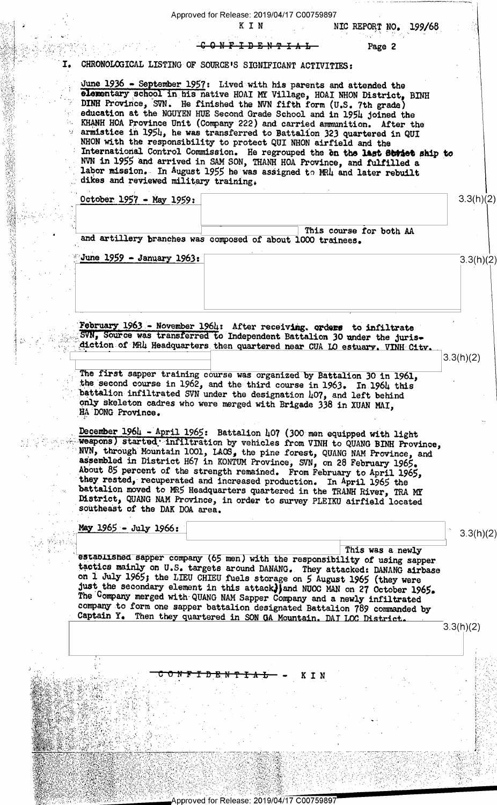Approved for Release: 2019/04/17 C00759897 KIN NIC REPORT NO. 199/68  $0<sub>1</sub> **W F T H T H W T H H H H H H H H H H H H H H H H H H H H H H H H H H H**$ Page 2 CHRONOLOGICAL LISTING OF SOURCE'S SIGNIFICANT ACTIVITIES: I. June 1936 - September 1957: Lived with his parents and attended the elementary school in his native HOAI MY Village, HOAI NHON District, BINH DINH Province, SVN. He finished the NVN fifth form (U.S. 7th grade) education at the NGUYEN HUE Second Grade School and in 1954 joined the KHANH HOA Province Unit (Company 222) and carried ammunition. After the armistice in 1954, he was transferred to Battalion 323 quartered in QUI NHON with the responsibility to protect QUI NHON airfield and the International Control Commission. He regrouped the on the last Bordet ship to<br>NVN in 1955 and arrived in SAM SON, THANH HOA Province, and fulfilled a<br>labor mission. In August 1955 he was assigned to MRU and later rebuilt dikes and reviewed military training. October 1957 - May 1959:  $3.3(h)(2)$ This course for both AA and artillery branches was composed of about 1000 trainees. June 1959 - January 1963:  $3.3(h)(2)$ February 1963 - November 1964: After receiving. orders to infiltrate SVN, Source was transferred to Independent Battalion 30 under the jurisdiction of MRL Headquarters then quartered near CUA LO estuary. VINH City.  $3.3(h)(2)$ The first sapper training course was organized by Battalion 30 in 1961, the second course in 1962, and the third course in 1963. In 1964 this battalion infiltrated SVN under the designation 407, and left behind only skeleton cadres who were merged with Brigade 338 in XUAN MAI, HA DONG Province. December 1964 - April 1965: Battalion 407 (300 men equipped with light weapons) started infiltration by vehicles from VINH to QUANG BINH Province,<br>NVN, through Mountain 1001, LAOS, the pine forest, QUANG NAM Province, and<br>assembled in District H67 in KONTUM Province, SVN, on 28 February 1965. About 85 percent of the strength remained. From February to April 1965, they rested, recuperated and increased production. In April 1965 the battalion moved to MR5 Headquarters quartered in the TRANH River, TRA MY District, QUANG NAM Province, in order to survey PLEIKU airfield located southeast of the DAK DOA area. May 1965 - July 1966:  $3.3(h)(2)$ This was a newly established sapper company (65 men) with the responsibility of using sapper tactics mainly on U.S. targets around DANANG. They attacked: DANANG airbase<br>on 1 July 1965; the LIEU CHIEU fuels storage on 5 August 1965 (they were<br>just the secondary element in this attack] and NUOC MAN on 27 October 196 The Company merged with QUANG NAM Sapper Company and a newly infiltrated company to form one sapper battalion designated Battalion 789 commanded by Captain Y. Then they quartered in SON GA Mountain. DAT LOC District.  $3.3(h)(2)$ Ŧ KIN

Approved for Release: 2019/04/17 C00759897